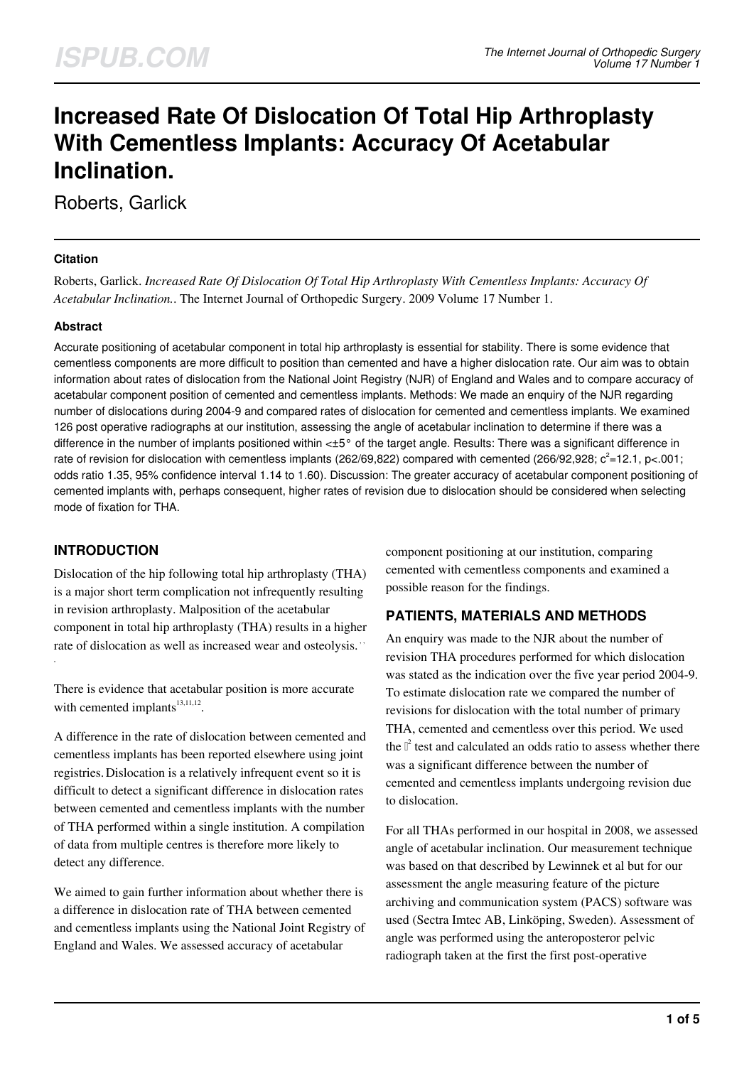# **Increased Rate Of Dislocation Of Total Hip Arthroplasty With Cementless Implants: Accuracy Of Acetabular Inclination.**

Roberts, Garlick

#### **Citation**

Roberts, Garlick. *Increased Rate Of Dislocation Of Total Hip Arthroplasty With Cementless Implants: Accuracy Of Acetabular Inclination.*. The Internet Journal of Orthopedic Surgery. 2009 Volume 17 Number 1.

#### **Abstract**

Accurate positioning of acetabular component in total hip arthroplasty is essential for stability. There is some evidence that cementless components are more difficult to position than cemented and have a higher dislocation rate. Our aim was to obtain information about rates of dislocation from the National Joint Registry (NJR) of England and Wales and to compare accuracy of acetabular component position of cemented and cementless implants. Methods: We made an enquiry of the NJR regarding number of dislocations during 2004-9 and compared rates of dislocation for cemented and cementless implants. We examined 126 post operative radiographs at our institution, assessing the angle of acetabular inclination to determine if there was a difference in the number of implants positioned within <±5° of the target angle. Results: There was a significant difference in rate of revision for dislocation with cementless implants (262/69,822) compared with cemented (266/92,928;  $c^2$ =12.1, p<.001; odds ratio 1.35, 95% confidence interval 1.14 to 1.60). Discussion: The greater accuracy of acetabular component positioning of cemented implants with, perhaps consequent, higher rates of revision due to dislocation should be considered when selecting mode of fixation for THA.

## **INTRODUCTION**

Dislocation of the hip following total hip arthroplasty (THA) is a major short term complication not infrequently resulting in revision arthroplasty. Malposition of the acetabular component in total hip arthroplasty (THA) results in a higher rate of dislocation as well as increased wear and osteolysis. ,

There is evidence that acetabular position is more accurate with cemented implants $13,11,12$ .

A difference in the rate of dislocation between cemented and cementless implants has been reported elsewhere using joint registries.Dislocation is a relatively infrequent event so it is difficult to detect a significant difference in dislocation rates between cemented and cementless implants with the number of THA performed within a single institution. A compilation of data from multiple centres is therefore more likely to detect any difference.

We aimed to gain further information about whether there is a difference in dislocation rate of THA between cemented and cementless implants using the National Joint Registry of England and Wales. We assessed accuracy of acetabular

component positioning at our institution, comparing cemented with cementless components and examined a possible reason for the findings.

## **PATIENTS, MATERIALS AND METHODS**

An enquiry was made to the NJR about the number of revision THA procedures performed for which dislocation was stated as the indication over the five year period 2004-9. To estimate dislocation rate we compared the number of revisions for dislocation with the total number of primary THA, cemented and cementless over this period. We used the  $\mathbb{I}^2$  test and calculated an odds ratio to assess whether there was a significant difference between the number of cemented and cementless implants undergoing revision due to dislocation.

For all THAs performed in our hospital in 2008, we assessed angle of acetabular inclination. Our measurement technique was based on that described by Lewinnek et al but for our assessment the angle measuring feature of the picture archiving and communication system (PACS) software was used (Sectra Imtec AB, Linköping, Sweden). Assessment of angle was performed using the anteroposteror pelvic radiograph taken at the first the first post-operative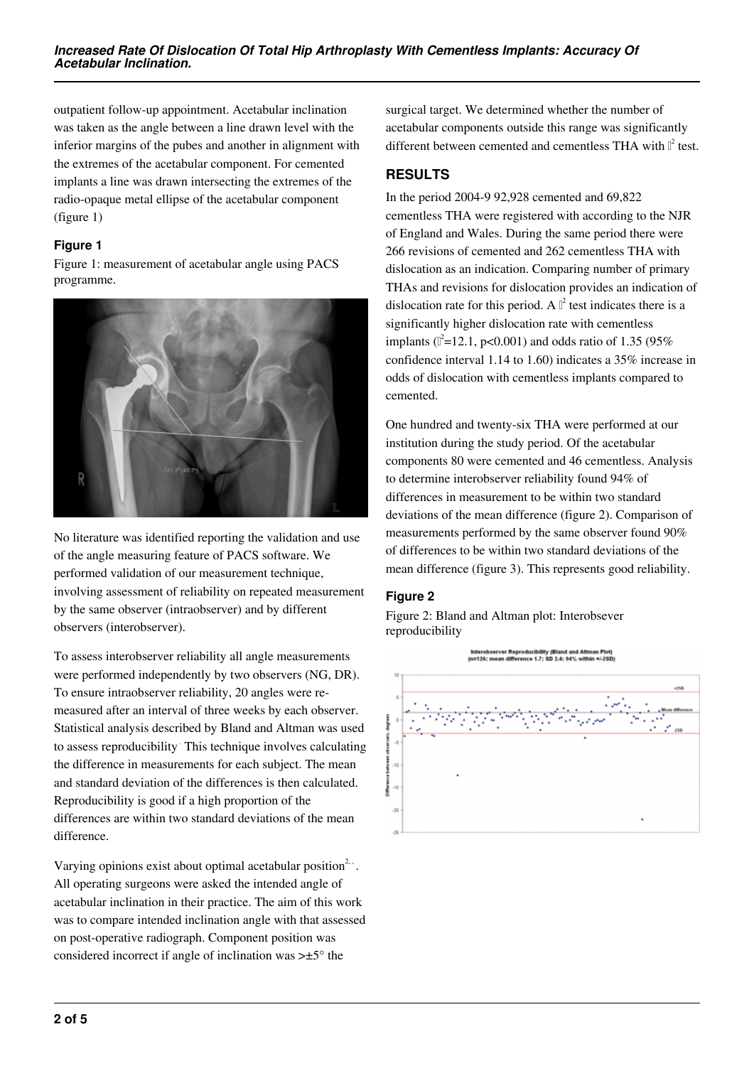outpatient follow-up appointment. Acetabular inclination was taken as the angle between a line drawn level with the inferior margins of the pubes and another in alignment with the extremes of the acetabular component. For cemented implants a line was drawn intersecting the extremes of the radio-opaque metal ellipse of the acetabular component (figure 1)

### **Figure 1**

Figure 1: measurement of acetabular angle using PACS programme.



No literature was identified reporting the validation and use of the angle measuring feature of PACS software. We performed validation of our measurement technique, involving assessment of reliability on repeated measurement by the same observer (intraobserver) and by different observers (interobserver).

To assess interobserver reliability all angle measurements were performed independently by two observers (NG, DR). To ensure intraobserver reliability, 20 angles were remeasured after an interval of three weeks by each observer. Statistical analysis described by Bland and Altman was used to assess reproducibility This technique involves calculating the difference in measurements for each subject. The mean and standard deviation of the differences is then calculated. Reproducibility is good if a high proportion of the differences are within two standard deviations of the mean difference.

Varying opinions exist about optimal acetabular position $2^2$ . All operating surgeons were asked the intended angle of acetabular inclination in their practice. The aim of this work was to compare intended inclination angle with that assessed on post-operative radiograph. Component position was considered incorrect if angle of inclination was  $\geq 5^\circ$  the

surgical target. We determined whether the number of acetabular components outside this range was significantly different between cemented and cementless THA with  $\mathbb{I}^2$  test.

## **RESULTS**

In the period 2004-9 92,928 cemented and 69,822 cementless THA were registered with according to the NJR of England and Wales. During the same period there were 266 revisions of cemented and 262 cementless THA with dislocation as an indication. Comparing number of primary THAs and revisions for dislocation provides an indication of dislocation rate for this period. A  $\mathbb{I}^2$  test indicates there is a significantly higher dislocation rate with cementless implants ( $\mathbb{I}^2$ =12.1, p<0.001) and odds ratio of 1.35 (95%) confidence interval 1.14 to 1.60) indicates a 35% increase in odds of dislocation with cementless implants compared to cemented.

One hundred and twenty-six THA were performed at our institution during the study period. Of the acetabular components 80 were cemented and 46 cementless. Analysis to determine interobserver reliability found 94% of differences in measurement to be within two standard deviations of the mean difference (figure 2). Comparison of measurements performed by the same observer found 90% of differences to be within two standard deviations of the mean difference (figure 3). This represents good reliability.

## **Figure 2**

Figure 2: Bland and Altman plot: Interobsever reproducibility

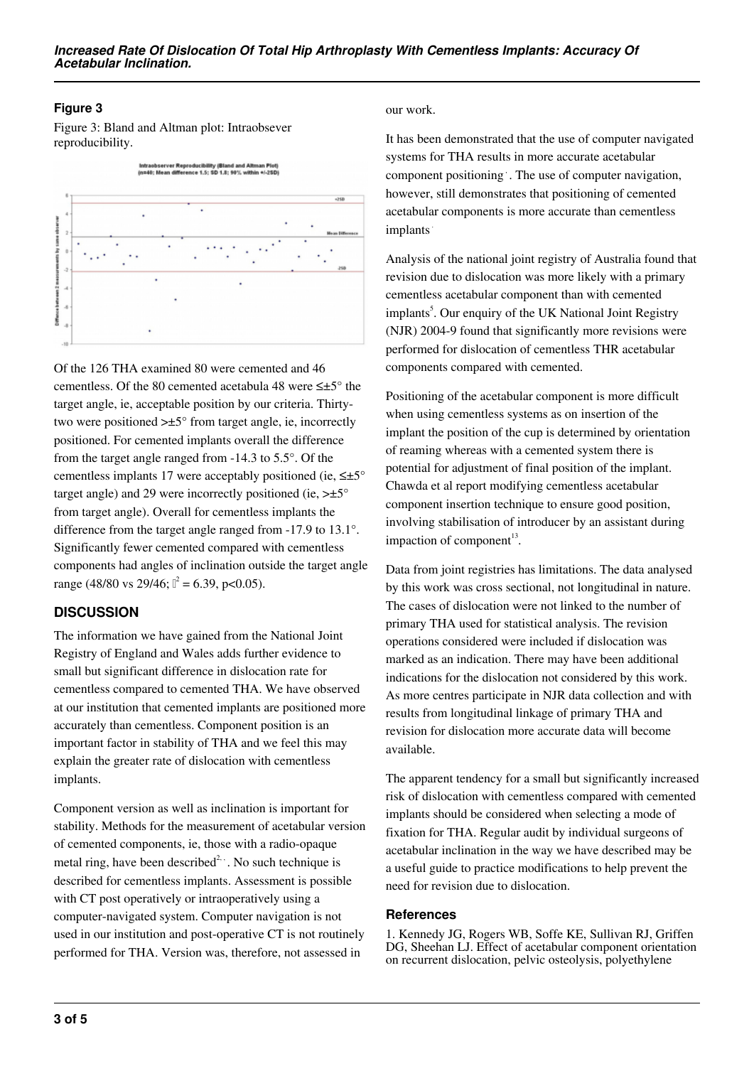## **Figure 3**

Figure 3: Bland and Altman plot: Intraobsever reproducibility.



Of the 126 THA examined 80 were cemented and 46 cementless. Of the 80 cemented acetabula 48 were ≤±5° the target angle, ie, acceptable position by our criteria. Thirtytwo were positioned >±5° from target angle, ie, incorrectly positioned. For cemented implants overall the difference from the target angle ranged from -14.3 to 5.5°. Of the cementless implants 17 were acceptably positioned (ie, ≤±5° target angle) and 29 were incorrectly positioned (ie,  $> \pm 5^{\circ}$ from target angle). Overall for cementless implants the difference from the target angle ranged from -17.9 to 13.1°. Significantly fewer cemented compared with cementless components had angles of inclination outside the target angle range (48/80 vs 29/46;  $l^2 = 6.39$ , p<0.05).

## **DISCUSSION**

The information we have gained from the National Joint Registry of England and Wales adds further evidence to small but significant difference in dislocation rate for cementless compared to cemented THA. We have observed at our institution that cemented implants are positioned more accurately than cementless. Component position is an important factor in stability of THA and we feel this may explain the greater rate of dislocation with cementless implants.

Component version as well as inclination is important for stability. Methods for the measurement of acetabular version of cemented components, ie, those with a radio-opaque metal ring, have been described<sup>2,  $\cdot$ </sup>. No such technique is described for cementless implants. Assessment is possible with CT post operatively or intraoperatively using a computer-navigated system. Computer navigation is not used in our institution and post-operative CT is not routinely performed for THA. Version was, therefore, not assessed in

our work.

It has been demonstrated that the use of computer navigated systems for THA results in more accurate acetabular component positioning . The use of computer navigation, however, still demonstrates that positioning of cemented acetabular components is more accurate than cementless *implants* 

Analysis of the national joint registry of Australia found that revision due to dislocation was more likely with a primary cementless acetabular component than with cemented implants<sup>5</sup>. Our enquiry of the UK National Joint Registry (NJR) 2004-9 found that significantly more revisions were performed for dislocation of cementless THR acetabular components compared with cemented.

Positioning of the acetabular component is more difficult when using cementless systems as on insertion of the implant the position of the cup is determined by orientation of reaming whereas with a cemented system there is potential for adjustment of final position of the implant. Chawda et al report modifying cementless acetabular component insertion technique to ensure good position, involving stabilisation of introducer by an assistant during impaction of component<sup>13</sup>.

Data from joint registries has limitations. The data analysed by this work was cross sectional, not longitudinal in nature. The cases of dislocation were not linked to the number of primary THA used for statistical analysis. The revision operations considered were included if dislocation was marked as an indication. There may have been additional indications for the dislocation not considered by this work. As more centres participate in NJR data collection and with results from longitudinal linkage of primary THA and revision for dislocation more accurate data will become available.

The apparent tendency for a small but significantly increased risk of dislocation with cementless compared with cemented implants should be considered when selecting a mode of fixation for THA. Regular audit by individual surgeons of acetabular inclination in the way we have described may be a useful guide to practice modifications to help prevent the need for revision due to dislocation.

#### **References**

1. Kennedy JG, Rogers WB, Soffe KE, Sullivan RJ, Griffen DG, Sheehan LJ. Effect of acetabular component orientation on recurrent dislocation, pelvic osteolysis, polyethylene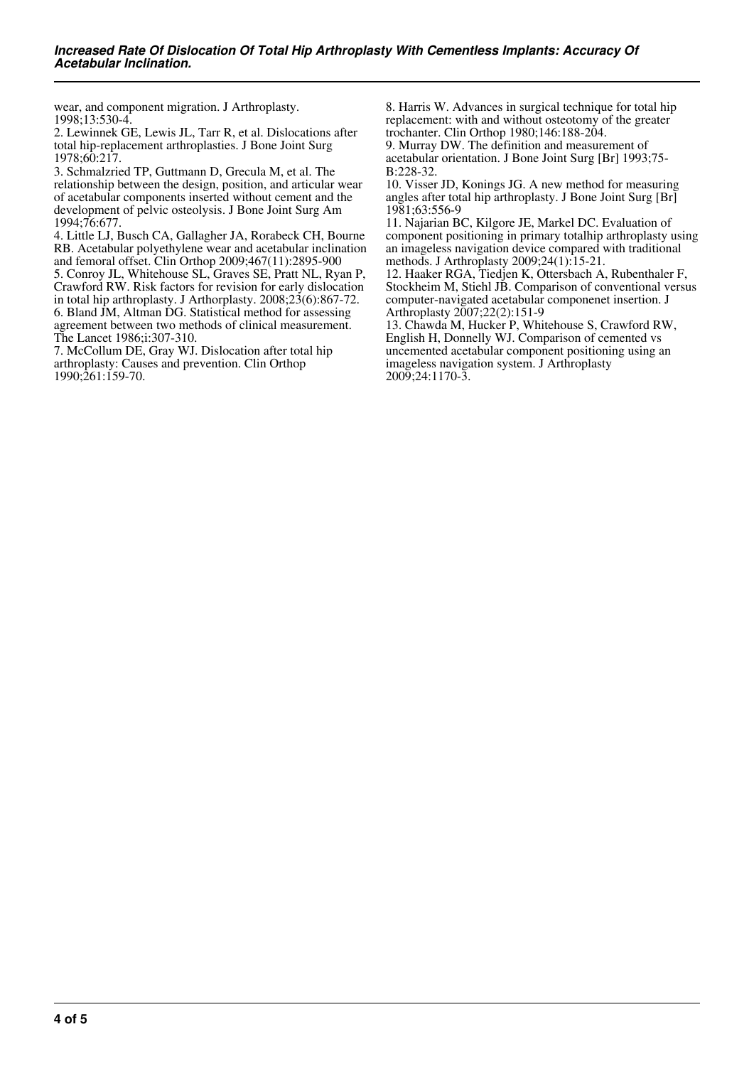wear, and component migration. J Arthroplasty. 1998;13:530-4.

2. Lewinnek GE, Lewis JL, Tarr R, et al. Dislocations after total hip-replacement arthroplasties. J Bone Joint Surg 1978;60:217.

3. Schmalzried TP, Guttmann D, Grecula M, et al. The relationship between the design, position, and articular wear of acetabular components inserted without cement and the development of pelvic osteolysis. J Bone Joint Surg Am 1994;76:677.

4. Little LJ, Busch CA, Gallagher JA, Rorabeck CH, Bourne RB. Acetabular polyethylene wear and acetabular inclination and femoral offset. Clin Orthop 2009;467(11):2895-900 5. Conroy JL, Whitehouse SL, Graves SE, Pratt NL, Ryan P, Crawford RW. Risk factors for revision for early dislocation in total hip arthroplasty. J Arthorplasty. 2008;23(6):867-72. 6. Bland JM, Altman DG. Statistical method for assessing

agreement between two methods of clinical measurement. The Lancet 1986;i:307-310. 7. McCollum DE, Gray WJ. Dislocation after total hip

arthroplasty: Causes and prevention. Clin Orthop 1990;261:159-70.

8. Harris W. Advances in surgical technique for total hip replacement: with and without osteotomy of the greater trochanter. Clin Orthop 1980;146:188-204.

9. Murray DW. The definition and measurement of acetabular orientation. J Bone Joint Surg [Br] 1993;75-  $B:228-32.$ 

10. Visser JD, Konings JG. A new method for measuring angles after total hip arthroplasty. J Bone Joint Surg [Br] 1981;63:556-9

11. Najarian BC, Kilgore JE, Markel DC. Evaluation of component positioning in primary totalhip arthroplasty using an imageless navigation device compared with traditional methods. J Arthroplasty 2009;24(1):15-21.

12. Haaker RGA, Tiedjen K, Ottersbach A, Rubenthaler F, Stockheim M, Stiehl JB. Comparison of conventional versus computer-navigated acetabular componenet insertion. J Arthroplasty 2007;22(2):151-9

13. Chawda M, Hucker P, Whitehouse S, Crawford RW, English H, Donnelly WJ. Comparison of cemented vs uncemented acetabular component positioning using an imageless navigation system. J Arthroplasty 2009;24:1170-3.